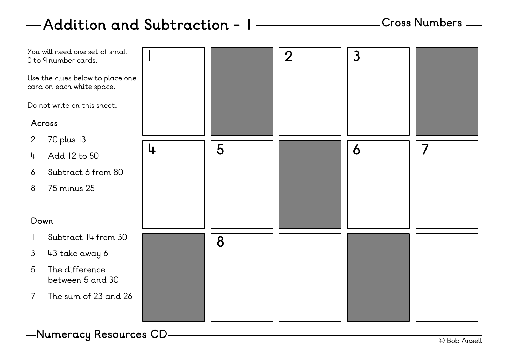## **Addition and Subtraction - 1**



© Bob Ansell **Numeracy Resources CD**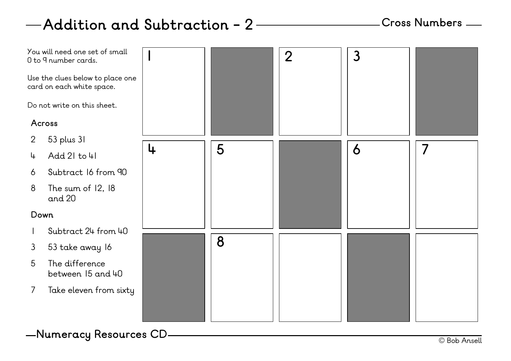# **Addition and Subtraction - 2**

### **Cross Numbers**



© Bob Ansell **Numeracy Resources CD**